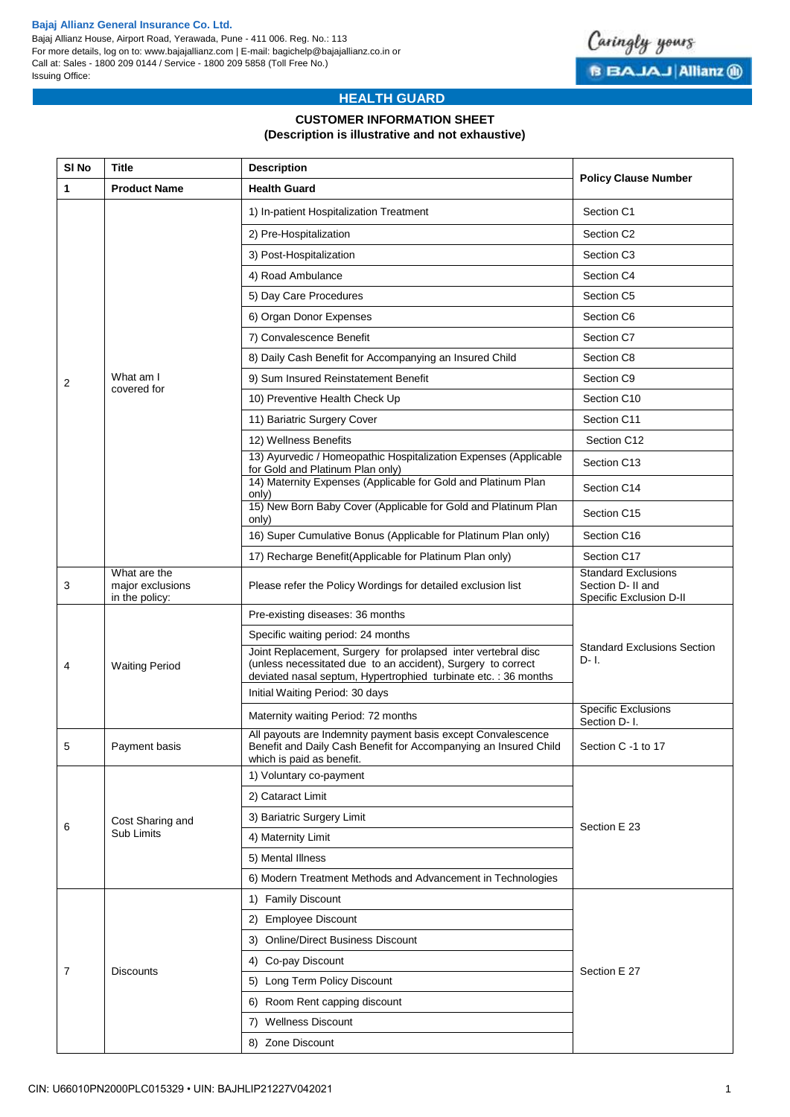#### **Bajaj Allianz General Insurance Co. Ltd.**

Bajaj Allianz House, Airport Road, Yerawada, Pune - 411 006. Reg. No.: 113 For more details, log on to: www.bajajallianz.com | E-mail: bagichelp@bajajallianz.co.in or Call at: Sales - 1800 209 0144 / Service - 1800 209 5858 (Toll Free No.) Issuing Office:



# **HEALTH GUARD**

### **CUSTOMER INFORMATION SHEET (Description is illustrative and not exhaustive)**

| SI <sub>No</sub> | <b>Title</b>                                       | <b>Description</b>                                                                                                                                                                              | <b>Policy Clause Number</b>                                                |  |  |
|------------------|----------------------------------------------------|-------------------------------------------------------------------------------------------------------------------------------------------------------------------------------------------------|----------------------------------------------------------------------------|--|--|
| $\mathbf{1}$     | <b>Product Name</b>                                | <b>Health Guard</b>                                                                                                                                                                             |                                                                            |  |  |
|                  |                                                    | 1) In-patient Hospitalization Treatment                                                                                                                                                         | Section C1                                                                 |  |  |
|                  |                                                    | 2) Pre-Hospitalization                                                                                                                                                                          | Section C <sub>2</sub>                                                     |  |  |
|                  |                                                    | 3) Post-Hospitalization                                                                                                                                                                         | Section C <sub>3</sub>                                                     |  |  |
|                  |                                                    | 4) Road Ambulance                                                                                                                                                                               | Section C4                                                                 |  |  |
|                  |                                                    | 5) Day Care Procedures                                                                                                                                                                          | Section C5                                                                 |  |  |
|                  |                                                    | 6) Organ Donor Expenses                                                                                                                                                                         | Section C6                                                                 |  |  |
|                  |                                                    | 7) Convalescence Benefit                                                                                                                                                                        | Section C7                                                                 |  |  |
|                  |                                                    | 8) Daily Cash Benefit for Accompanying an Insured Child                                                                                                                                         | Section C8                                                                 |  |  |
| 2                | What am I                                          | 9) Sum Insured Reinstatement Benefit                                                                                                                                                            | Section C9                                                                 |  |  |
|                  | covered for                                        | 10) Preventive Health Check Up                                                                                                                                                                  | Section C10                                                                |  |  |
|                  |                                                    | 11) Bariatric Surgery Cover                                                                                                                                                                     | Section C11                                                                |  |  |
|                  |                                                    | 12) Wellness Benefits                                                                                                                                                                           | Section C12                                                                |  |  |
|                  |                                                    | 13) Ayurvedic / Homeopathic Hospitalization Expenses (Applicable<br>for Gold and Platinum Plan only)                                                                                            | Section C13                                                                |  |  |
|                  |                                                    | 14) Maternity Expenses (Applicable for Gold and Platinum Plan<br>only)                                                                                                                          | Section C14                                                                |  |  |
|                  |                                                    | 15) New Born Baby Cover (Applicable for Gold and Platinum Plan<br>only)                                                                                                                         | Section C15                                                                |  |  |
|                  |                                                    | 16) Super Cumulative Bonus (Applicable for Platinum Plan only)                                                                                                                                  | Section C16                                                                |  |  |
|                  |                                                    | 17) Recharge Benefit(Applicable for Platinum Plan only)                                                                                                                                         | Section C17                                                                |  |  |
| 3                | What are the<br>major exclusions<br>in the policy: | Please refer the Policy Wordings for detailed exclusion list                                                                                                                                    | <b>Standard Exclusions</b><br>Section D- II and<br>Specific Exclusion D-II |  |  |
|                  |                                                    | Pre-existing diseases: 36 months                                                                                                                                                                |                                                                            |  |  |
|                  |                                                    | Specific waiting period: 24 months                                                                                                                                                              |                                                                            |  |  |
| 4                | <b>Waiting Period</b>                              | Joint Replacement, Surgery for prolapsed inter vertebral disc<br>(unless necessitated due to an accident), Surgery to correct<br>deviated nasal septum, Hypertrophied turbinate etc.: 36 months | <b>Standard Exclusions Section</b><br>$D - I$ .                            |  |  |
|                  |                                                    | Initial Waiting Period: 30 days                                                                                                                                                                 |                                                                            |  |  |
|                  |                                                    | Maternity waiting Period: 72 months                                                                                                                                                             | <b>Specific Exclusions</b><br>Section D- I.                                |  |  |
| 5                | Payment basis                                      | All payouts are Indemnity payment basis except Convalescence<br>Benefit and Daily Cash Benefit for Accompanying an Insured Child<br>which is paid as benefit.                                   | Section C -1 to 17                                                         |  |  |
|                  |                                                    | 1) Voluntary co-payment                                                                                                                                                                         |                                                                            |  |  |
|                  | Cost Sharing and<br>Sub Limits                     | 2) Cataract Limit                                                                                                                                                                               |                                                                            |  |  |
|                  |                                                    | 3) Bariatric Surgery Limit                                                                                                                                                                      |                                                                            |  |  |
| 6                |                                                    | 4) Maternity Limit                                                                                                                                                                              | Section E 23                                                               |  |  |
|                  |                                                    | 5) Mental Illness                                                                                                                                                                               |                                                                            |  |  |
|                  |                                                    | 6) Modern Treatment Methods and Advancement in Technologies                                                                                                                                     |                                                                            |  |  |
|                  | <b>Discounts</b>                                   | 1) Family Discount                                                                                                                                                                              |                                                                            |  |  |
|                  |                                                    | 2) Employee Discount                                                                                                                                                                            |                                                                            |  |  |
|                  |                                                    | 3) Online/Direct Business Discount                                                                                                                                                              |                                                                            |  |  |
|                  |                                                    | 4) Co-pay Discount                                                                                                                                                                              |                                                                            |  |  |
| 7                |                                                    | 5) Long Term Policy Discount                                                                                                                                                                    | Section E 27                                                               |  |  |
|                  |                                                    | 6) Room Rent capping discount                                                                                                                                                                   |                                                                            |  |  |
|                  |                                                    | 7) Wellness Discount                                                                                                                                                                            |                                                                            |  |  |
|                  |                                                    | 8) Zone Discount                                                                                                                                                                                |                                                                            |  |  |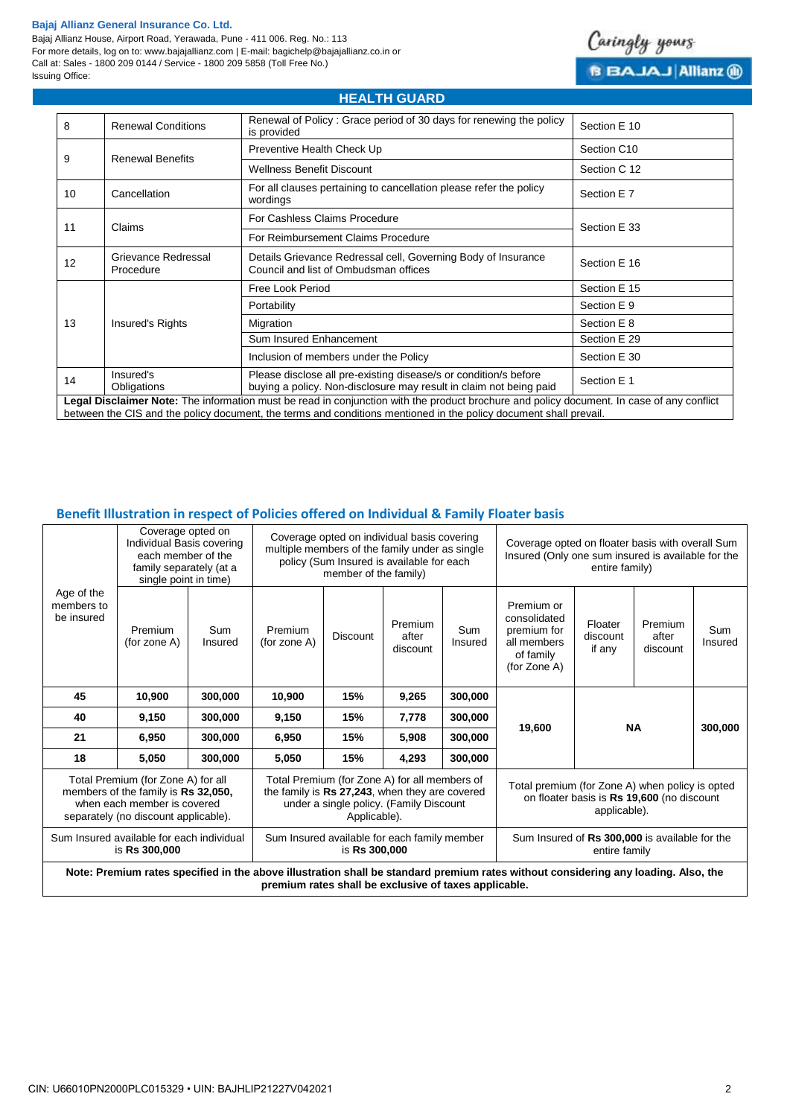#### **Bajaj Allianz General Insurance Co. Ltd.**

Bajaj Allianz House, Airport Road, Yerawada, Pune - 411 006. Reg. No.: 113 For more details, log on to: www.bajajallianz.com | E-mail: bagichelp@bajajallianz.co.in or Call at: Sales - 1800 209 0144 / Service - 1800 209 5858 (Toll Free No.) Issuing Office:



| <b>HEALTH GUARD</b>                                                                                                                                                                                                                                            |                                  |                                                                                                                                        |              |  |  |  |
|----------------------------------------------------------------------------------------------------------------------------------------------------------------------------------------------------------------------------------------------------------------|----------------------------------|----------------------------------------------------------------------------------------------------------------------------------------|--------------|--|--|--|
| 8                                                                                                                                                                                                                                                              | <b>Renewal Conditions</b>        | Renewal of Policy: Grace period of 30 days for renewing the policy<br>is provided                                                      | Section E 10 |  |  |  |
| 9                                                                                                                                                                                                                                                              |                                  | Preventive Health Check Up                                                                                                             | Section C10  |  |  |  |
|                                                                                                                                                                                                                                                                | <b>Renewal Benefits</b>          | <b>Wellness Benefit Discount</b>                                                                                                       | Section C 12 |  |  |  |
| 10                                                                                                                                                                                                                                                             | Cancellation                     | For all clauses pertaining to cancellation please refer the policy<br>wordings                                                         | Section E 7  |  |  |  |
| 11                                                                                                                                                                                                                                                             | Claims                           | For Cashless Claims Procedure                                                                                                          | Section E 33 |  |  |  |
|                                                                                                                                                                                                                                                                |                                  | For Reimbursement Claims Procedure                                                                                                     |              |  |  |  |
| 12                                                                                                                                                                                                                                                             | Grievance Redressal<br>Procedure | Details Grievance Redressal cell, Governing Body of Insurance<br>Council and list of Ombudsman offices                                 | Section E 16 |  |  |  |
| 13                                                                                                                                                                                                                                                             |                                  | Free Look Period                                                                                                                       | Section E 15 |  |  |  |
|                                                                                                                                                                                                                                                                |                                  | Portability                                                                                                                            | Section E 9  |  |  |  |
|                                                                                                                                                                                                                                                                | Insured's Rights                 | Migration                                                                                                                              | Section E 8  |  |  |  |
|                                                                                                                                                                                                                                                                |                                  | Sum Insured Enhancement                                                                                                                | Section E 29 |  |  |  |
|                                                                                                                                                                                                                                                                |                                  | Inclusion of members under the Policy                                                                                                  | Section E 30 |  |  |  |
| 14                                                                                                                                                                                                                                                             | Insured's<br>Obligations         | Please disclose all pre-existing disease/s or condition/s before<br>buying a policy. Non-disclosure may result in claim not being paid | Section E 1  |  |  |  |
| Legal Disclaimer Note: The information must be read in conjunction with the product brochure and policy document. In case of any conflict<br>between the CIS and the policy document, the terms and conditions mentioned in the policy document shall prevail. |                                  |                                                                                                                                        |              |  |  |  |

## **Benefit Illustration in respect of Policies offered on Individual & Family Floater basis**

| Age of the<br>members to<br>be insured                                                                                                                                                      | Coverage opted on<br>Individual Basis covering<br>each member of the<br>family separately (at a<br>single point in time) |                       | Coverage opted on individual basis covering<br>multiple members of the family under as single<br>policy (Sum Insured is available for each<br>member of the family) |                 |                              | Coverage opted on floater basis with overall Sum<br>Insured (Only one sum insured is available for the<br>entire family) |                                                                                       |                               |                              |                       |
|---------------------------------------------------------------------------------------------------------------------------------------------------------------------------------------------|--------------------------------------------------------------------------------------------------------------------------|-----------------------|---------------------------------------------------------------------------------------------------------------------------------------------------------------------|-----------------|------------------------------|--------------------------------------------------------------------------------------------------------------------------|---------------------------------------------------------------------------------------|-------------------------------|------------------------------|-----------------------|
|                                                                                                                                                                                             | Premium<br>(for zone $A$ )                                                                                               | <b>Sum</b><br>Insured | Premium<br>(for zone A)                                                                                                                                             | <b>Discount</b> | Premium<br>after<br>discount | Sum<br>Insured                                                                                                           | Premium or<br>consolidated<br>premium for<br>all members<br>of family<br>(for Zone A) | Floater<br>discount<br>if any | Premium<br>after<br>discount | <b>Sum</b><br>Insured |
| 45                                                                                                                                                                                          | 10,900                                                                                                                   | 300,000               | 10,900                                                                                                                                                              | 15%             | 9,265                        | 300,000                                                                                                                  |                                                                                       | <b>NA</b>                     |                              |                       |
| 40                                                                                                                                                                                          | 9,150                                                                                                                    | 300,000               | 9,150                                                                                                                                                               | 15%             | 7,778                        | 300,000                                                                                                                  |                                                                                       |                               |                              |                       |
| 21                                                                                                                                                                                          | 6,950                                                                                                                    | 300,000               | 6.950                                                                                                                                                               | 15%             | 5,908                        | 300,000                                                                                                                  | 19,600                                                                                |                               |                              | 300,000               |
| 18                                                                                                                                                                                          | 5.050                                                                                                                    | 300,000               | 5,050                                                                                                                                                               | 15%             | 4,293                        | 300,000                                                                                                                  |                                                                                       |                               |                              |                       |
| Total Premium (for Zone A) for all<br>members of the family is Rs 32,050,<br>when each member is covered<br>separately (no discount applicable).                                            |                                                                                                                          |                       | Total Premium (for Zone A) for all members of<br>the family is Rs 27,243, when they are covered<br>under a single policy. (Family Discount<br>Applicable).          |                 |                              | Total premium (for Zone A) when policy is opted<br>on floater basis is Rs 19,600 (no discount<br>applicable).            |                                                                                       |                               |                              |                       |
| Sum Insured available for each individual<br>is Rs 300,000                                                                                                                                  |                                                                                                                          |                       | Sum Insured available for each family member<br>is Rs 300,000                                                                                                       |                 |                              | Sum Insured of Rs 300,000 is available for the<br>entire family                                                          |                                                                                       |                               |                              |                       |
| Note: Premium rates specified in the above illustration shall be standard premium rates without considering any loading. Also, the<br>premium rates shall be exclusive of taxes applicable. |                                                                                                                          |                       |                                                                                                                                                                     |                 |                              |                                                                                                                          |                                                                                       |                               |                              |                       |